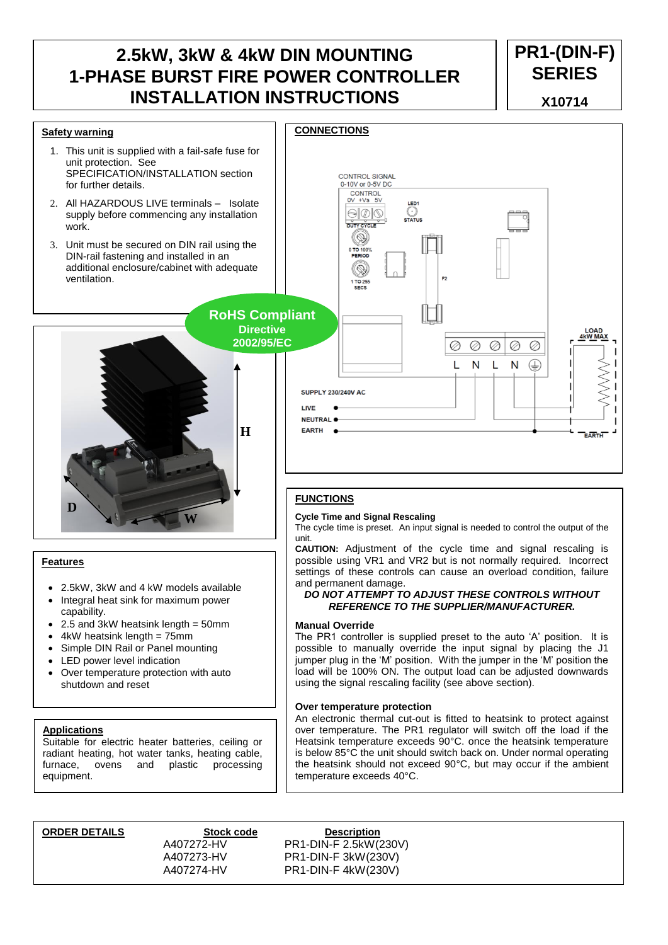## **2.5kW, 3kW & 4kW DIN MOUNTING 1-PHASE BURST FIRE POWER CONTROLLER INSTALLATION INSTRUCTIONS**



**X10714**



#### **Applications**

Suitable for electric heater batteries, ceiling or radiant heating, hot water tanks, heating cable, furnace, ovens and plastic processing equipment.

#### **Over temperature protection**

An electronic thermal cut-out is fitted to heatsink to protect against over temperature. The PR1 regulator will switch off the load if the Heatsink temperature exceeds 90°C. once the heatsink temperature is below 85°C the unit should switch back on. Under normal operating the heatsink should not exceed 90°C, but may occur if the ambient temperature exceeds 40°C.

**ORDER DETAILS Stock code Description** A407272-HV PR1-DIN-F 2.5kW(230V) A407273-HV PR1-DIN-F 3kW(230V) A407274-HV PR1-DIN-F 4kW(230V)